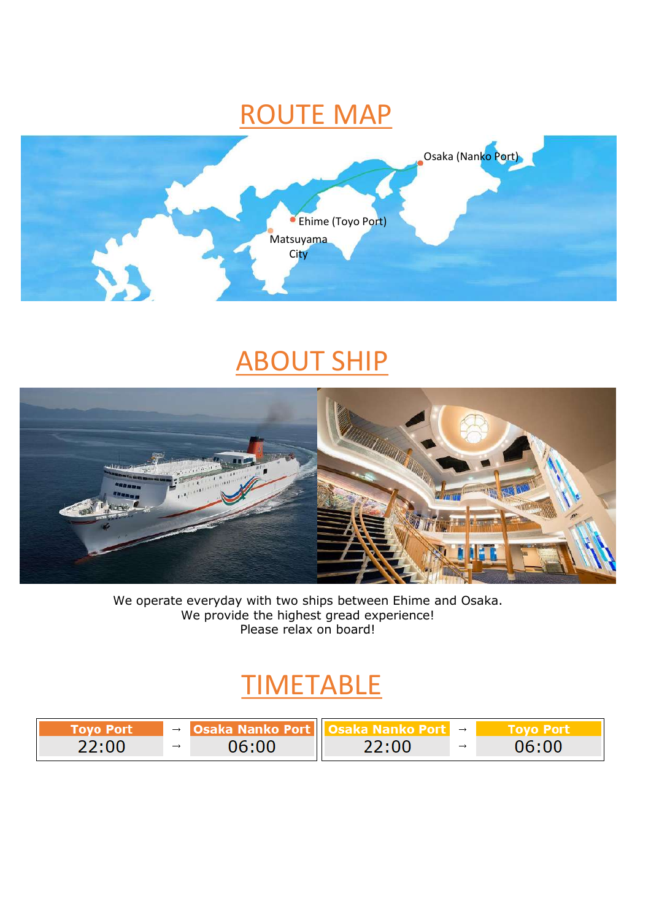### ROUTE MAP



## **ABOUT SHIP**



We operate everyday with two ships between Ehime and Osaka. We provide the highest gread experience! Please relax on board!

# **TIMETABLE**

| Tovo Port | $\rightarrow$ | Osaka Nanko Port I |       | $\rightarrow$ |       |
|-----------|---------------|--------------------|-------|---------------|-------|
| 22:00     | $\rightarrow$ | 06:00              | 22:00 |               | 06:00 |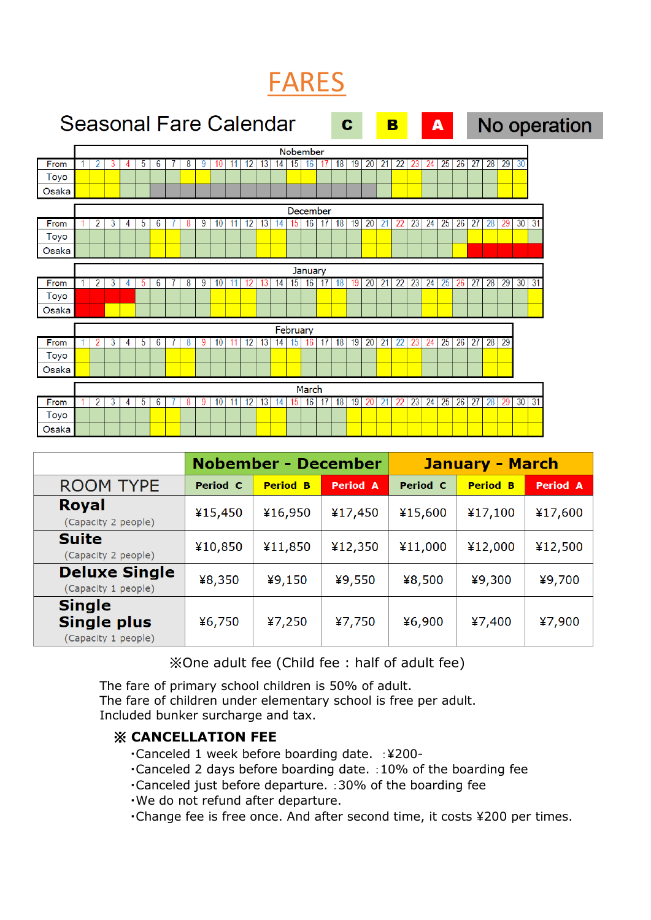### FARES



|                                                            | <b>Nobember - December</b> |                 |          |          | <b>January - March</b> |          |
|------------------------------------------------------------|----------------------------|-----------------|----------|----------|------------------------|----------|
| <b>ROOM TYPE</b>                                           | Period C                   | <b>Period B</b> | Period A | Period C | <b>Period B</b>        | Period A |
| <b>Royal</b><br>(Capacity 2 people)                        | ¥15,450                    | ¥16,950         | ¥17,450  | ¥15,600  | ¥17,100                | ¥17,600  |
| <b>Suite</b><br>(Capacity 2 people)                        | ¥10,850                    | ¥11,850         | ¥12,350  | ¥11,000  | ¥12,000                | ¥12,500  |
| <b>Deluxe Single</b><br>(Capacity 1 people)                | ¥8,350                     | 49,150          | ¥9,550   | ¥8,500   | ¥9,300                 | ¥9,700   |
| <b>Single</b><br><b>Single plus</b><br>(Capacity 1 people) | ¥6,750                     | 47,250          | ¥7,750   | ¥6,900   | ¥7,400                 | ¥7,900   |

※One adult fee (Child fee : half of adult fee)

The fare of primary school children is 50% of adult. The fare of children under elementary school is free per adult. Included bunker surcharge and tax.

#### ※ **CANCELLATION FEE**

- ・Canceled 1 week before boarding date. :¥200-
- ・Canceled 2 days before boarding date. :10% of the boarding fee
- ・Canceled just before departure. :30% of the boarding fee
- ・We do not refund after departure.
- ・Change fee is free once. And after second time, it costs ¥200 per times.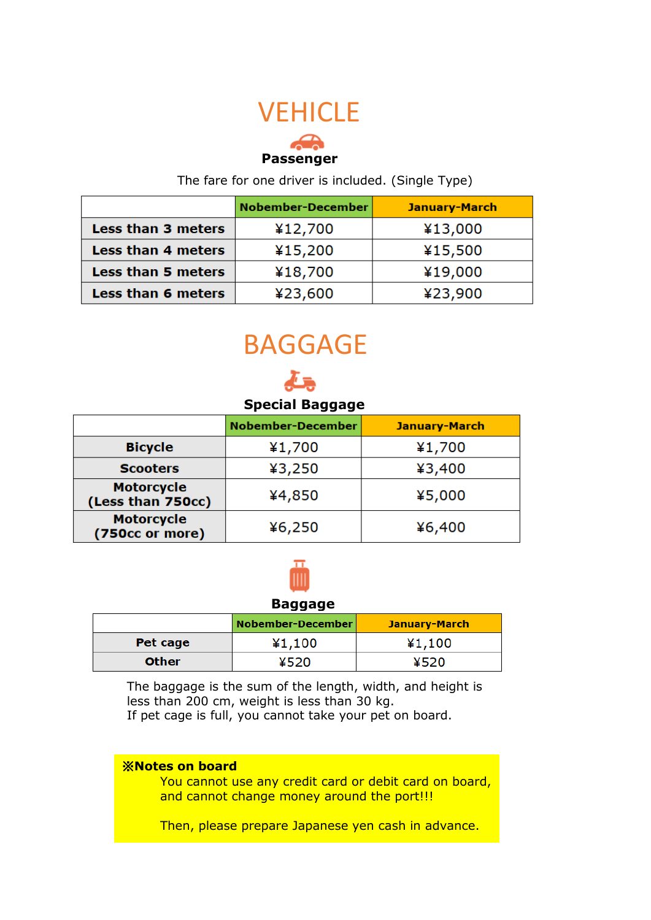### **VEHICLE**

### **Passenger**

The fare for one driver is included. (Single Type)

|                           | <b>Nobember-December</b> | <b>January-March</b> |
|---------------------------|--------------------------|----------------------|
| Less than 3 meters        | ¥12,700                  | ¥13,000              |
| Less than 4 meters        | ¥15,200                  | ¥15,500              |
| <b>Less than 5 meters</b> | ¥18,700                  | ¥19,000              |
| <b>Less than 6 meters</b> | ¥23,600                  | ¥23,900              |

# BAGGAGE

### **Special Baggage**

|                                        | <b>Nobember-December</b> | <b>January-March</b> |
|----------------------------------------|--------------------------|----------------------|
| <b>Bicycle</b>                         | ¥1,700                   | ¥1,700               |
| <b>Scooters</b>                        | 43,250                   | 43,400               |
| <b>Motorcycle</b><br>(Less than 750cc) | ¥4,850                   | ¥5,000               |
| <b>Motorcycle</b><br>(750cc or more)   | 46,250                   | ¥6,400               |



#### **Baggage**

|              | Nobember-December | January-March |
|--------------|-------------------|---------------|
| Pet cage     | ¥1,100            | ¥1,100        |
| <b>Other</b> | ¥520              | ¥520          |

The baggage is the sum of the length, width, and height is less than 200 cm, weight is less than 30 kg. If pet cage is full, you cannot take your pet on board.

#### ※**Notes on board**

You cannot use any credit card or debit card on board, and cannot change money around the port!!!

Then, please prepare Japanese yen cash in advance.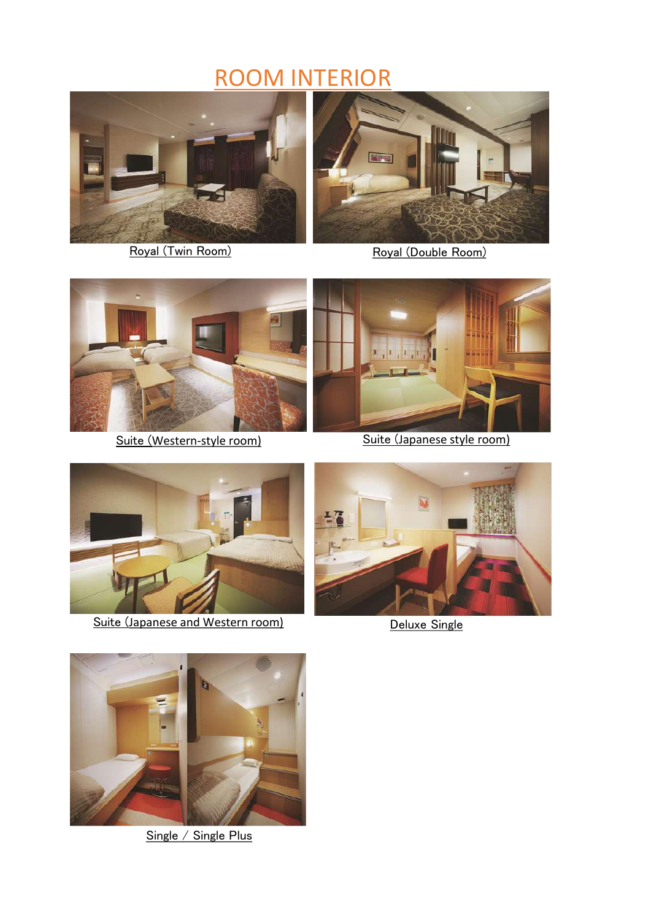### ROOM INTERIOR



Royal (Twin Room)



Royal (Double Room)





Suite (Western-style room) Suite (Japanese style room)



Suite (Japanese and Western room) Deluxe Single





Single / Single Plus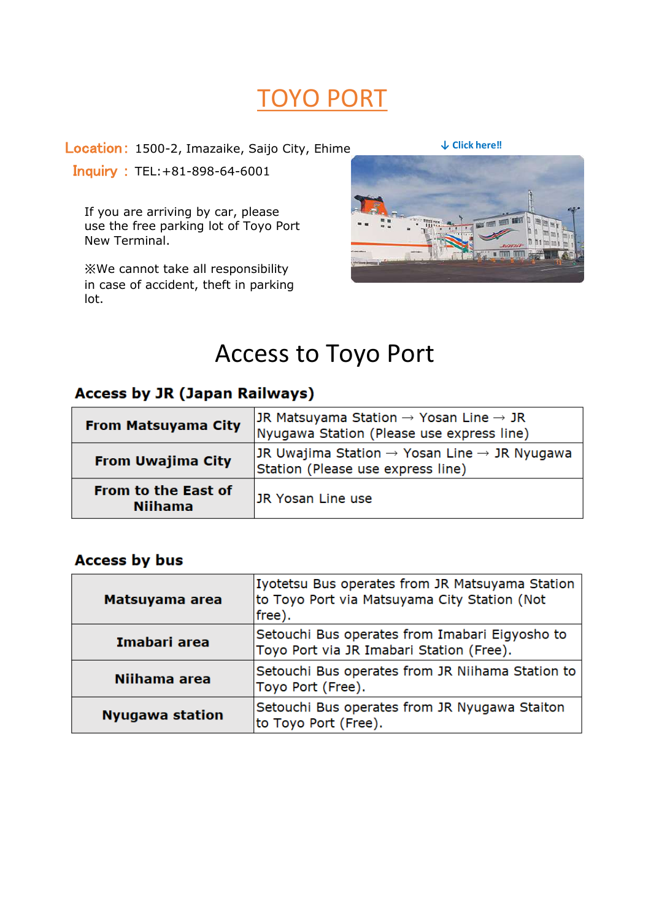### TOYO PORT

Location: 1500-2, Imazaike, Saijo City, Ehime

Inquiry : TEL:+81-898-64-6001

If you are arriving by car, please use the free parking lot of Toyo Port New Terminal.

※We cannot take all responsibility in case of accident, theft in parking lot.



### Access to Toyo Port

### **Access by JR (Japan Railways)**

| <b>From Matsuyama City</b>                   | JR Matsuyama Station $\rightarrow$ Yosan Line $\rightarrow$ JR<br>Nyugawa Station (Please use express line) |
|----------------------------------------------|-------------------------------------------------------------------------------------------------------------|
| <b>From Uwajima City</b>                     | JR Uwajima Station $\rightarrow$ Yosan Line $\rightarrow$ JR Nyugawa<br>Station (Please use express line)   |
| <b>From to the East of</b><br><b>Niihama</b> | IJR Yosan Line use                                                                                          |

#### **Access by bus**

| Matsuyama area         | Iyotetsu Bus operates from JR Matsuyama Station<br>to Toyo Port via Matsuyama City Station (Not<br>free). |
|------------------------|-----------------------------------------------------------------------------------------------------------|
| Imabari area           | Setouchi Bus operates from Imabari Eigyosho to<br>Toyo Port via JR Imabari Station (Free).                |
| Niihama area           | Setouchi Bus operates from JR Niihama Station to<br>Toyo Port (Free).                                     |
| <b>Nyugawa station</b> | Setouchi Bus operates from JR Nyugawa Staiton<br>to Toyo Port (Free).                                     |